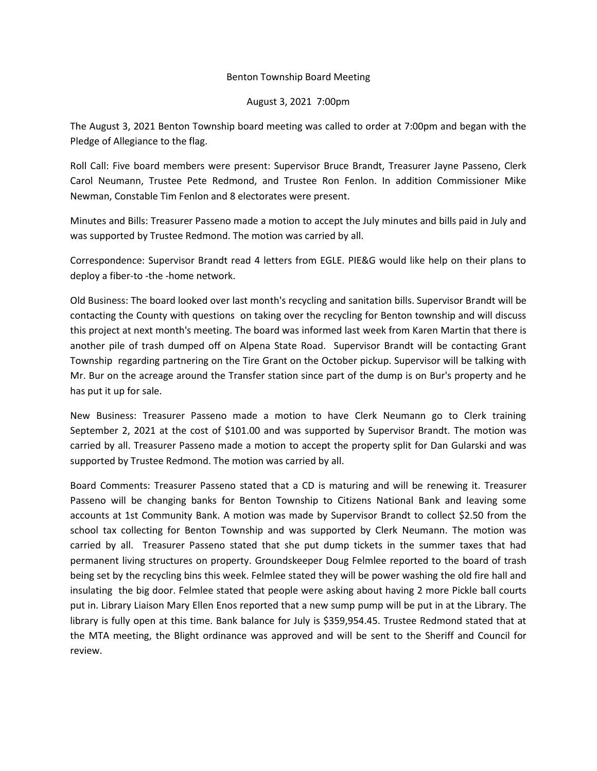## Benton Township Board Meeting

## August 3, 2021 7:00pm

The August 3, 2021 Benton Township board meeting was called to order at 7:00pm and began with the Pledge of Allegiance to the flag.

Roll Call: Five board members were present: Supervisor Bruce Brandt, Treasurer Jayne Passeno, Clerk Carol Neumann, Trustee Pete Redmond, and Trustee Ron Fenlon. In addition Commissioner Mike Newman, Constable Tim Fenlon and 8 electorates were present.

Minutes and Bills: Treasurer Passeno made a motion to accept the July minutes and bills paid in July and was supported by Trustee Redmond. The motion was carried by all.

Correspondence: Supervisor Brandt read 4 letters from EGLE. PIE&G would like help on their plans to deploy a fiber-to -the -home network.

Old Business: The board looked over last month's recycling and sanitation bills. Supervisor Brandt will be contacting the County with questions on taking over the recycling for Benton township and will discuss this project at next month's meeting. The board was informed last week from Karen Martin that there is another pile of trash dumped off on Alpena State Road. Supervisor Brandt will be contacting Grant Township regarding partnering on the Tire Grant on the October pickup. Supervisor will be talking with Mr. Bur on the acreage around the Transfer station since part of the dump is on Bur's property and he has put it up for sale.

New Business: Treasurer Passeno made a motion to have Clerk Neumann go to Clerk training September 2, 2021 at the cost of \$101.00 and was supported by Supervisor Brandt. The motion was carried by all. Treasurer Passeno made a motion to accept the property split for Dan Gularski and was supported by Trustee Redmond. The motion was carried by all.

Board Comments: Treasurer Passeno stated that a CD is maturing and will be renewing it. Treasurer Passeno will be changing banks for Benton Township to Citizens National Bank and leaving some accounts at 1st Community Bank. A motion was made by Supervisor Brandt to collect \$2.50 from the school tax collecting for Benton Township and was supported by Clerk Neumann. The motion was carried by all. Treasurer Passeno stated that she put dump tickets in the summer taxes that had permanent living structures on property. Groundskeeper Doug Felmlee reported to the board of trash being set by the recycling bins this week. Felmlee stated they will be power washing the old fire hall and insulating the big door. Felmlee stated that people were asking about having 2 more Pickle ball courts put in. Library Liaison Mary Ellen Enos reported that a new sump pump will be put in at the Library. The library is fully open at this time. Bank balance for July is \$359,954.45. Trustee Redmond stated that at the MTA meeting, the Blight ordinance was approved and will be sent to the Sheriff and Council for review.